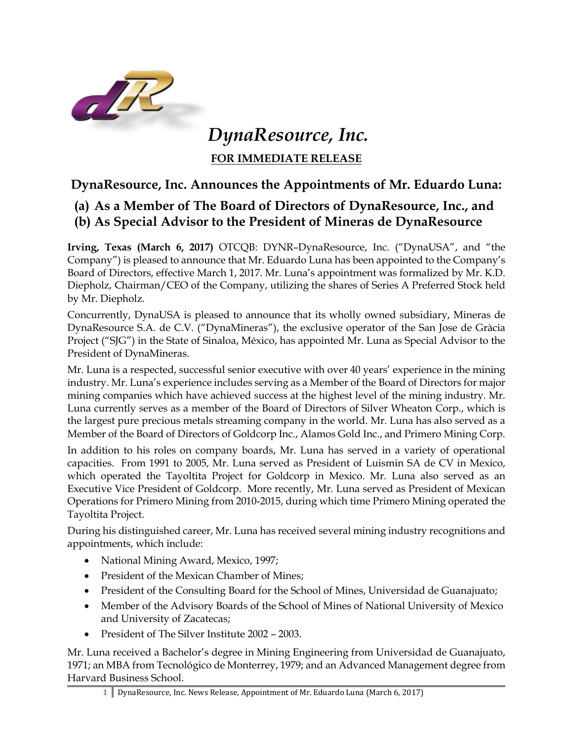

## *DynaResource, Inc.* **FOR IMMEDIATE RELEASE**

**DynaResource, Inc. Announces the Appointments of Mr. Eduardo Luna:**

- **(a) As a Member of The Board of Directors of DynaResource, Inc., and**
- **(b) As Special Advisor to the President of Mineras de DynaResource**

**Irving, Texas (March 6, 2017)** OTCQB: DYNR–DynaResource, Inc. ("DynaUSA", and "the Company") is pleased to announce that Mr. Eduardo Luna has been appointed to the Company's Board of Directors, effective March 1, 2017. Mr. Luna's appointment was formalized by Mr. K.D. Diepholz, Chairman/CEO of the Company, utilizing the shares of Series A Preferred Stock held by Mr. Diepholz.

Concurrently, DynaUSA is pleased to announce that its wholly owned subsidiary, Mineras de DynaResource S.A. de C.V. ("DynaMineras"), the exclusive operator of the San Jose de Gràcia Project ("SJG") in the State of Sinaloa, México, has appointed Mr. Luna as Special Advisor to the President of DynaMineras.

Mr. Luna is a respected, successful senior executive with over 40 years' experience in the mining industry. Mr. Luna's experience includes serving as a Member of the Board of Directors for major mining companies which have achieved success at the highest level of the mining industry. Mr. Luna currently serves as a member of the Board of Directors of Silver Wheaton Corp., which is the largest pure precious metals streaming company in the world. Mr. Luna has also served as a Member of the Board of Directors of Goldcorp Inc., Alamos Gold Inc., and Primero Mining Corp.

In addition to his roles on company boards, Mr. Luna has served in a variety of operational capacities. From 1991 to 2005, Mr. Luna served as President of Luismin SA de CV in Mexico, which operated the Tayoltita Project for Goldcorp in Mexico. Mr. Luna also served as an Executive Vice President of Goldcorp. More recently, Mr. Luna served as President of Mexican Operations for Primero Mining from 2010-2015, during which time Primero Mining operated the Tayoltita Project.

During his distinguished career, Mr. Luna has received several mining industry recognitions and appointments, which include:

- National Mining Award, Mexico, 1997;
- President of the Mexican Chamber of Mines;
- President of the Consulting Board for the School of Mines, Universidad de Guanajuato;
- Member of the Advisory Boards of the School of Mines of National University of Mexico and University of Zacatecas;
- President of The Silver Institute 2002 2003.

Mr. Luna received a Bachelor's degree in Mining Engineering from Universidad de Guanajuato, 1971; an MBA from Tecnológico de Monterrey, 1979; and an Advanced Management degree from Harvard Business School.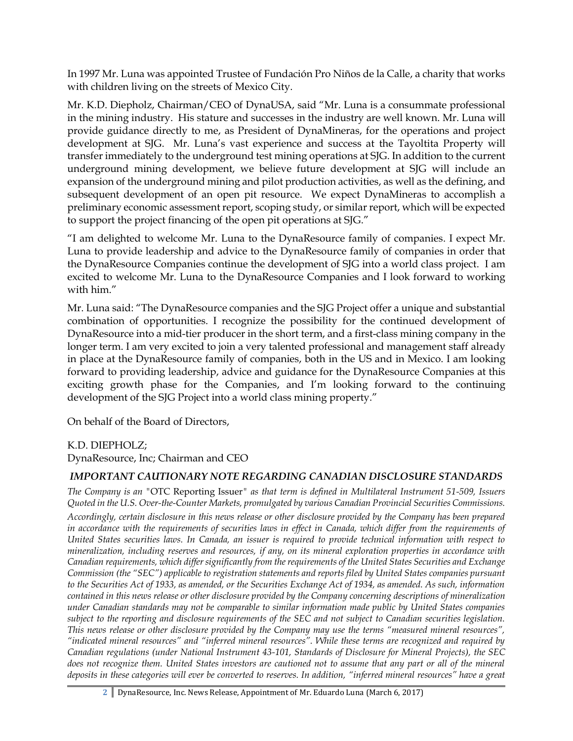In 1997 Mr. Luna was appointed Trustee of Fundación Pro Niños de la Calle, a charity that works with children living on the streets of Mexico City.

Mr. K.D. Diepholz, Chairman/CEO of DynaUSA, said "Mr. Luna is a consummate professional in the mining industry. His stature and successes in the industry are well known. Mr. Luna will provide guidance directly to me, as President of DynaMineras, for the operations and project development at SJG. Mr. Luna's vast experience and success at the Tayoltita Property will transfer immediately to the underground test mining operations at SJG. In addition to the current underground mining development, we believe future development at SJG will include an expansion of the underground mining and pilot production activities, as well as the defining, and subsequent development of an open pit resource. We expect DynaMineras to accomplish a preliminary economic assessment report, scoping study, or similar report, which will be expected to support the project financing of the open pit operations at SJG."

"I am delighted to welcome Mr. Luna to the DynaResource family of companies. I expect Mr. Luna to provide leadership and advice to the DynaResource family of companies in order that the DynaResource Companies continue the development of SJG into a world class project. I am excited to welcome Mr. Luna to the DynaResource Companies and I look forward to working with him."

Mr. Luna said: "The DynaResource companies and the SJG Project offer a unique and substantial combination of opportunities. I recognize the possibility for the continued development of DynaResource into a mid-tier producer in the short term, and a first-class mining company in the longer term. I am very excited to join a very talented professional and management staff already in place at the DynaResource family of companies, both in the US and in Mexico. I am looking forward to providing leadership, advice and guidance for the DynaResource Companies at this exciting growth phase for the Companies, and I'm looking forward to the continuing development of the SJG Project into a world class mining property."

On behalf of the Board of Directors,

## K.D. DIEPHOLZ;

DynaResource, Inc; Chairman and CEO

## *IMPORTANT CAUTIONARY NOTE REGARDING CANADIAN DISCLOSURE STANDARDS*

*The Company is an "*OTC Reporting Issuer*" as that term is defined in Multilateral Instrument 51-509, Issuers Quoted in the U.S. Over-the-Counter Markets, promulgated by various Canadian Provincial Securities Commissions.*

*Accordingly, certain disclosure in this news release or other disclosure provided by the Company has been prepared in accordance with the requirements of securities laws in effect in Canada, which differ from the requirements of United States securities laws. In Canada, an issuer is required to provide technical information with respect to mineralization, including reserves and resources, if any, on its mineral exploration properties in accordance with Canadian requirements, which differ significantly from the requirements of the United States Securities and Exchange Commission (the "SEC") applicable to registration statements and reports filed by United States companies pursuant to the Securities Act of 1933, as amended, or the Securities Exchange Act of 1934, as amended. As such, information contained in this news release or other disclosure provided by the Company concerning descriptions of mineralization under Canadian standards may not be comparable to similar information made public by United States companies subject to the reporting and disclosure requirements of the SEC and not subject to Canadian securities legislation. This news release or other disclosure provided by the Company may use the terms "measured mineral resources", "indicated mineral resources" and "inferred mineral resources". While these terms are recognized and required by Canadian regulations (under National Instrument 43-101, Standards of Disclosure for Mineral Projects), the SEC does not recognize them. United States investors are cautioned not to assume that any part or all of the mineral deposits in these categories will ever be converted to reserves. In addition, "inferred mineral resources" have a great*